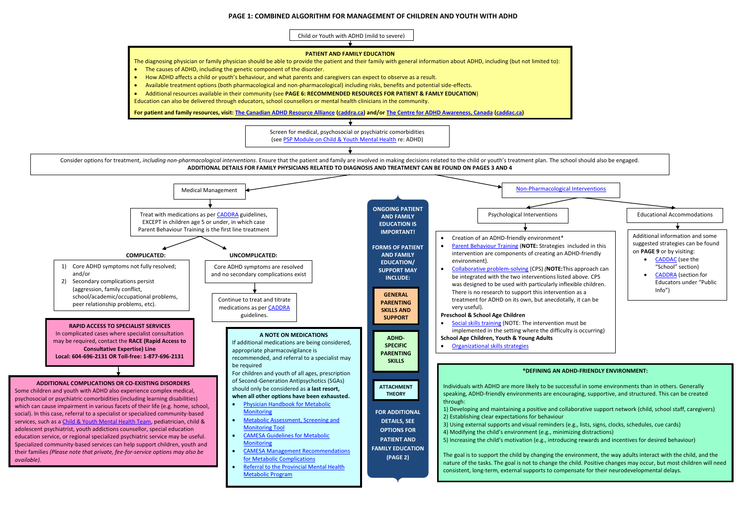## **PAGE 1: COMBINED ALGORITHM FOR MANAGEMENT OF CHILDREN AND YOUTH WITH ADHD**



- 
- 
- 
-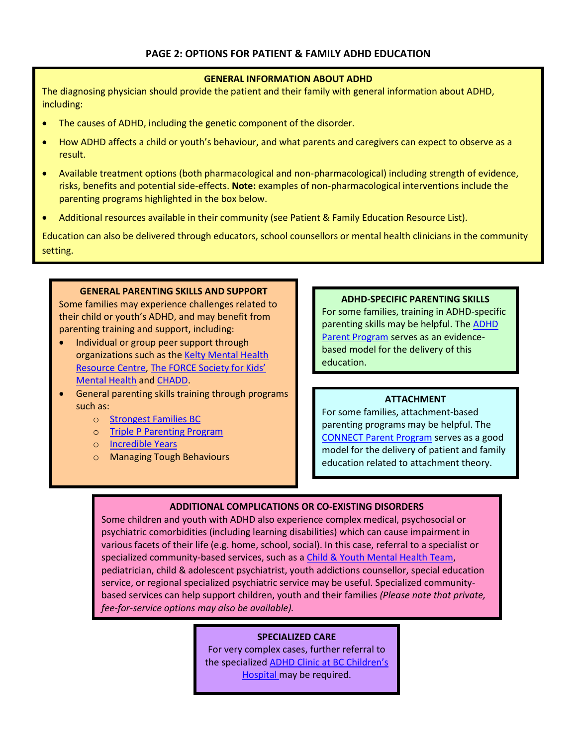#### **GENERAL INFORMATION ABOUT ADHD**

The diagnosing physician should provide the patient and their family with general information about ADHD, including:

- The causes of ADHD, including the genetic component of the disorder.
- How ADHD affects a child or youth's behaviour, and what parents and caregivers can expect to observe as a result.
- Available treatment options (both pharmacological and non-pharmacological) including strength of evidence, risks, benefits and potential side-effects. **Note:** examples of non-pharmacological interventions include the parenting programs highlighted in the box below.
- Additional resources available in their community (see Patient & Family Education Resource List).

Education can also be delivered through educators, school counsellors or mental health clinicians in the community setting.

#### **GENERAL PARENTING SKILLS AND SUPPORT**

Some families may experience challenges related to their child or youth's ADHD, and may benefit from parenting training and support, including:

- Individual or group peer support through organizations such as the [Kelty Mental Health](http://keltymentalhealth.ca/)  [Resource Centre,](http://keltymentalhealth.ca/) [The FORCE Society for Kids'](http://forcesociety.com/)  [Mental Health](http://forcesociety.com/) an[d CHADD.](http://www.chadd.org/)
- General parenting skills training through programs such as:
	- o [Strongest Families BC](http://www.cmha.bc.ca/how-we-can-help/children-families/strongestfamilies)
	- o [Triple P Parenting Program](http://www18.triplep.net/?pid=58)
	- o [Incredible Years](http://www.incredibleyears.com/)
	- o Managing Tough Behaviours

#### **ADHD-SPECIFIC PARENTING SKILLS**

For some families, training in ADHD-specific parenting skills may be helpful. The [ADHD](http://www.vch.ca/403/7676/?program_id=130)  [Parent Program](http://www.vch.ca/403/7676/?program_id=130) serves as an evidencebased model for the delivery of this education.

#### **ATTACHMENT**

For some families, attachment-based parenting programs may be helpful. The [CONNECT Parent Program](http://www.mcf.gov.bc.ca/maples/connect.htm) serves as a good model for the delivery of patient and family education related to attachment theory.

#### **ADDITIONAL COMPLICATIONS OR CO-EXISTING DISORDERS**

Some children and youth with ADHD also experience complex medical, psychosocial or psychiatric comorbidities (including learning disabilities) which can cause impairment in various facets of their life (e.g. home, school, social). In this case, referral to a specialist or specialized community-based services, such as a [Child & Youth Mental Health Team,](http://www.mcf.gov.bc.ca/mental_health/pdf/offices_services.pdf) pediatrician, child & adolescent psychiatrist, youth addictions counsellor, special education service, or regional specialized psychiatric service may be useful. Specialized communitybased services can help support children, youth and their families *(Please note that private, fee-for-service options may also be available).*

#### **SPECIALIZED CARE**

For very complex cases, further referral to the specialized **ADHD Clinic at BC Children's** [Hospital m](http://www.bcchildrens.ca/NR/exeres/47E5A945-4956-4194-8CEE-B631B70A959D.htm)ay be required.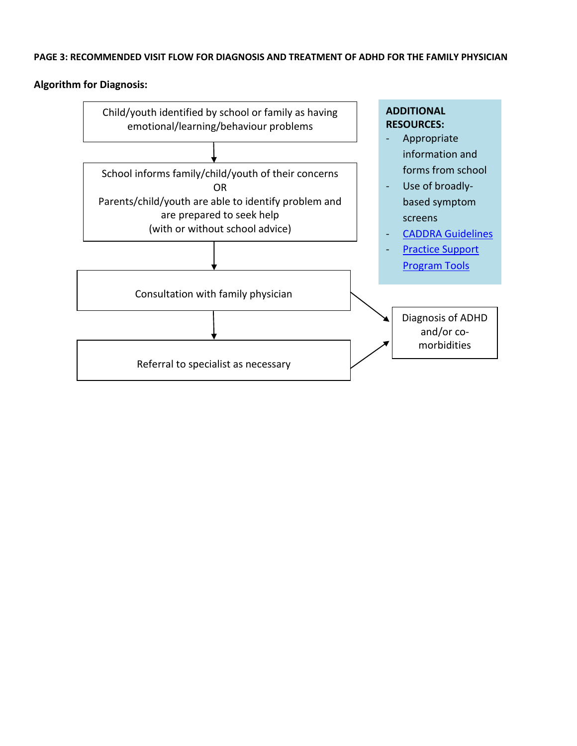## **PAGE 3: RECOMMENDED VISIT FLOW FOR DIAGNOSIS AND TREATMENT OF ADHD FOR THE FAMILY PHYSICIAN**

## **Algorithm for Diagnosis:**

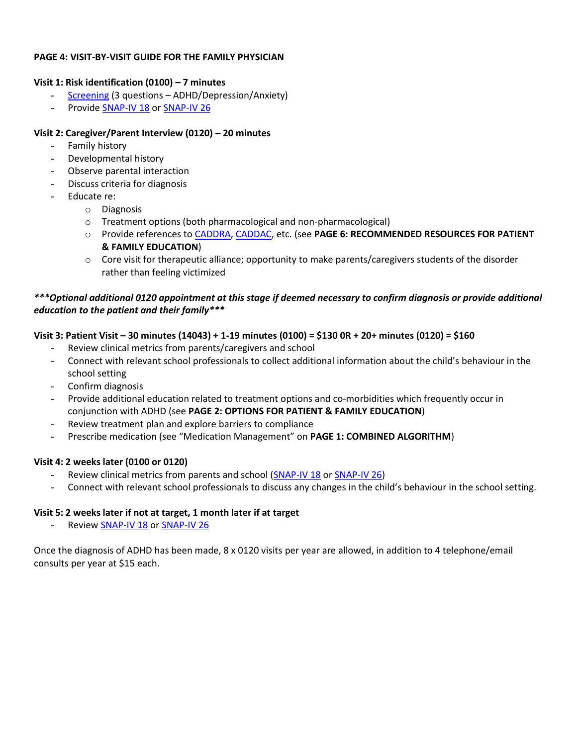#### **PAGE 4: VISIT-BY-VISIT GUIDE FOR THE FAMILY PHYSICIAN**

# **Visit 1: Risk identification (0100) – 7 minutes**

- [Screening](http://www.gpscbc.ca/psp-learning/child-and-youth-mental-health/tools-resources) (3 questions ADHD/Depression/Anxiety)
- Provid[e SNAP-IV 18](http://www.gpscbc.ca/system/files/SNAP-IV_18_%20Teacher_Parent_autoscore.pdf) o[r SNAP-IV 26](http://www.gpscbc.ca/system/files/92_CYMH_PSP_CaddraGuidelines2011SNAP.pdf)

#### **Visit 2: Caregiver/Parent Interview (0120) – 20 minutes**

- Family history
- Developmental history
- Observe parental interaction
- Discuss criteria for diagnosis
- Educate re:
	- o Diagnosis
	- o Treatment options (both pharmacological and non-pharmacological)
	- o Provide references t[o CADDRA,](http://caddra.ca/cms4/index.php?option=com_content&view=article&id=14&Itemid=36&lang=en) [CADDAC,](http://www.caddac.ca/) etc. (see **PAGE 6: RECOMMENDED RESOURCES FOR PATIENT & FAMILY EDUCATION**)
	- $\circ$  Core visit for therapeutic alliance; opportunity to make parents/caregivers students of the disorder rather than feeling victimized

## *\*\*\*Optional additional 0120 appointment at this stage if deemed necessary to confirm diagnosis or provide additional education to the patient and their family\*\*\**

#### **Visit 3: Patient Visit – 30 minutes (14043) + 1-19 minutes (0100) = \$130 0R + 20+ minutes (0120) = \$160**

- Review clinical metrics from parents/caregivers and school
- Connect with relevant school professionals to collect additional information about the child's behaviour in the school setting
- Confirm diagnosis
- Provide additional education related to treatment options and co-morbidities which frequently occur in conjunction with ADHD (see **PAGE 2: OPTIONS FOR PATIENT & FAMILY EDUCATION**)
- Review treatment plan and explore barriers to compliance
- Prescribe medication (see "Medication Management" on **PAGE 1: COMBINED ALGORITHM**)

#### **Visit 4: 2 weeks later (0100 or 0120)**

- Review clinical metrics from parents and school [\(SNAP-IV 18](http://www.gpscbc.ca/system/files/SNAP-IV_18_%20Teacher_Parent_autoscore.pdf) or [SNAP-IV 26\)](http://www.gpscbc.ca/system/files/92_CYMH_PSP_CaddraGuidelines2011SNAP.pdf)
- Connect with relevant school professionals to discuss any changes in the child's behaviour in the school setting.

#### **Visit 5: 2 weeks later if not at target, 1 month later if at target**

Review [SNAP-IV 18](http://www.gpscbc.ca/system/files/SNAP-IV_18_%20Teacher_Parent_autoscore.pdf) o[r SNAP-IV 26](http://www.gpscbc.ca/system/files/92_CYMH_PSP_CaddraGuidelines2011SNAP.pdf)

Once the diagnosis of ADHD has been made, 8 x 0120 visits per year are allowed, in addition to 4 telephone/email consults per year at \$15 each.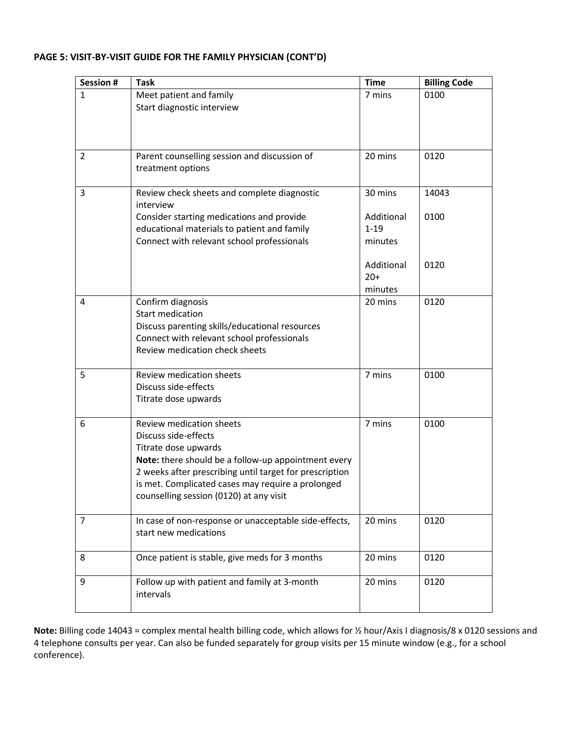#### **PAGE 5: VISIT-BY-VISIT GUIDE FOR THE FAMILY PHYSICIAN (CONT'D)**

| Session #      | <b>Task</b>                                                                                                  | <b>Time</b> | <b>Billing Code</b> |
|----------------|--------------------------------------------------------------------------------------------------------------|-------------|---------------------|
| 1              | Meet patient and family                                                                                      | 7 mins      | 0100                |
|                | Start diagnostic interview                                                                                   |             |                     |
|                |                                                                                                              |             |                     |
|                |                                                                                                              |             |                     |
| $\overline{2}$ | Parent counselling session and discussion of                                                                 | 20 mins     | 0120                |
|                | treatment options                                                                                            |             |                     |
| 3              | Review check sheets and complete diagnostic                                                                  | 30 mins     | 14043               |
|                | interview                                                                                                    |             |                     |
|                | Consider starting medications and provide                                                                    | Additional  | 0100                |
|                | educational materials to patient and family                                                                  | $1 - 19$    |                     |
|                | Connect with relevant school professionals                                                                   | minutes     |                     |
|                |                                                                                                              | Additional  | 0120                |
|                |                                                                                                              | $20+$       |                     |
|                |                                                                                                              | minutes     |                     |
| 4              | Confirm diagnosis                                                                                            | 20 mins     | 0120                |
|                | <b>Start medication</b>                                                                                      |             |                     |
|                | Discuss parenting skills/educational resources                                                               |             |                     |
|                | Connect with relevant school professionals<br>Review medication check sheets                                 |             |                     |
|                |                                                                                                              |             |                     |
| 5              | Review medication sheets                                                                                     | 7 mins      | 0100                |
|                | Discuss side-effects                                                                                         |             |                     |
|                | Titrate dose upwards                                                                                         |             |                     |
| 6              | Review medication sheets                                                                                     | 7 mins      | 0100                |
|                | Discuss side-effects                                                                                         |             |                     |
|                | Titrate dose upwards                                                                                         |             |                     |
|                | Note: there should be a follow-up appointment every                                                          |             |                     |
|                | 2 weeks after prescribing until target for prescription<br>is met. Complicated cases may require a prolonged |             |                     |
|                | counselling session (0120) at any visit                                                                      |             |                     |
|                |                                                                                                              |             |                     |
| 7              | In case of non-response or unacceptable side-effects,                                                        | 20 mins     | 0120                |
|                | start new medications                                                                                        |             |                     |
| 8              | Once patient is stable, give meds for 3 months                                                               | 20 mins     | 0120                |
|                |                                                                                                              |             |                     |
| 9              | Follow up with patient and family at 3-month                                                                 | 20 mins     | 0120                |
|                | intervals                                                                                                    |             |                     |
|                |                                                                                                              |             |                     |

**Note:** Billing code 14043 = complex mental health billing code, which allows for ½ hour/Axis I diagnosis/8 x 0120 sessions and 4 telephone consults per year. Can also be funded separately for group visits per 15 minute window (e.g., for a school conference).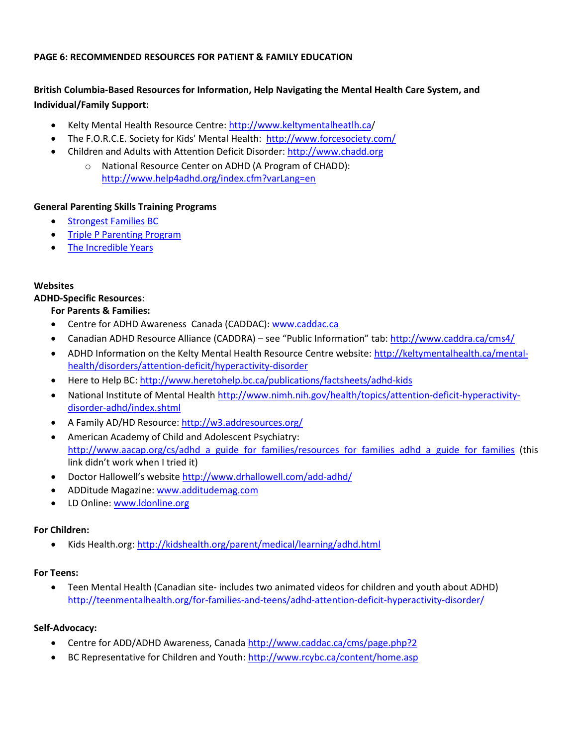## **PAGE 6: RECOMMENDED RESOURCES FOR PATIENT & FAMILY EDUCATION**

# **British Columbia-Based Resources for Information, Help Navigating the Mental Health Care System, and Individual/Family Support:**

- Kelty Mental Health Resource Centre:<http://www.keltymentalheatlh.ca/>
- The F.O.R.C.E. Society for Kids' Mental Health:<http://www.forcesociety.com/>
- Children and Adults with Attention Deficit Disorder: [http://www.chadd.org](http://www.chadd.org/) 
	- o National Resource Center on ADHD (A Program of CHADD): <http://www.help4adhd.org/index.cfm?varLang=en>

#### **General Parenting Skills Training Programs**

- **•** [Strongest Families BC](http://www.cmha.bc.ca/how-we-can-help/children-families/strongestfamilies)
- [Triple P Parenting Program](http://www18.triplep.net/?pid=58)
- [The Incredible Years](http://www.incredibleyears.com/)

#### **Websites**

#### **ADHD-Specific Resources**:

#### **For Parents & Families:**

- Centre for ADHD Awareness Canada (CADDAC): [www.caddac.ca](http://www.caddac.ca/)
- Canadian ADHD Resource Alliance (CADDRA) see "Public Information" tab: <http://www.caddra.ca/cms4/>
- ADHD Information on the Kelty Mental Health Resource Centre website: [http://keltymentalhealth.ca/mental](http://keltymentalhealth.ca/mental-health/disorders/attention-deficit/hyperactivity-disorder)[health/disorders/attention-deficit/hyperactivity-disorder](http://keltymentalhealth.ca/mental-health/disorders/attention-deficit/hyperactivity-disorder)
- Here to Help BC[: http://www.heretohelp.bc.ca/publications/factsheets/adhd-kids](http://www.heretohelp.bc.ca/publications/factsheets/adhd-kids)
- National Institute of Mental Health [http://www.nimh.nih.gov/health/topics/attention-deficit-hyperactivity](http://www.nimh.nih.gov/health/topics/attention-deficit-hyperactivity-disorder-adhd/index.shtml)[disorder-adhd/index.shtml](http://www.nimh.nih.gov/health/topics/attention-deficit-hyperactivity-disorder-adhd/index.shtml)
- A Family AD/HD Resource[: http://w3.addresources.org/](http://w3.addresources.org/)
- American Academy of Child and Adolescent Psychiatry: [http://www.aacap.org/cs/adhd\\_a\\_guide\\_for\\_families/resources\\_for\\_families\\_adhd\\_a\\_guide\\_for\\_families](http://www.aacap.org/cs/adhd_a_guide_for_families/resources_for_families_adhd_a_guide_for_families) (this link didn't work when I tried it)
- Doctor Hallowell's website <http://www.drhallowell.com/add-adhd/>
- ADDitude Magazine: [www.additudemag.com](http://www.additudemag.com/)
- LD Online[: www.ldonline.org](http://www.ldonline.org/)

#### **For Children:**

Kids Health.org[: http://kidshealth.org/parent/medical/learning/adhd.html](http://kidshealth.org/parent/medical/learning/adhd.html) 

#### **For Teens:**

 Teen Mental Health (Canadian site- includes two animated videos for children and youth about ADHD) <http://teenmentalhealth.org/for-families-and-teens/adhd-attention-deficit-hyperactivity-disorder/>

#### **Self-Advocacy:**

- Centre for ADD/ADHD Awareness, Canada<http://www.caddac.ca/cms/page.php?2>
- BC Representative for Children and Youth:<http://www.rcybc.ca/content/home.asp>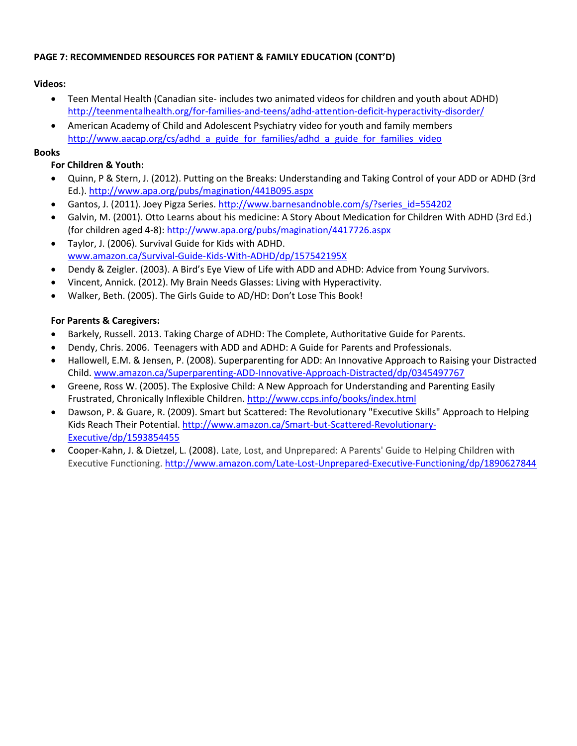# **PAGE 7: RECOMMENDED RESOURCES FOR PATIENT & FAMILY EDUCATION (CONT'D)**

# **Videos:**

- Teen Mental Health (Canadian site- includes two animated videos for children and youth about ADHD) <http://teenmentalhealth.org/for-families-and-teens/adhd-attention-deficit-hyperactivity-disorder/>
- American Academy of Child and Adolescent Psychiatry video for youth and family members [http://www.aacap.org/cs/adhd\\_a\\_guide\\_for\\_families/adhd\\_a\\_guide\\_for\\_families\\_video](http://www.aacap.org/cs/adhd_a_guide_for_families/adhd_a_guide_for_families_video)

## **Books**

# **For Children & Youth:**

- Quinn, P & Stern, J. (2012). Putting on the Breaks: Understanding and Taking Control of your ADD or ADHD (3rd Ed.)[. http://www.apa.org/pubs/magination/441B095.aspx](http://www.apa.org/pubs/magination/441B095.aspx)
- Gantos, J. (2011). Joey Pigza Series[. http://www.barnesandnoble.com/s/?series\\_id=554202](http://www.barnesandnoble.com/s/?series_id=554202)
- Galvin, M. (2001). Otto Learns about his medicine: A Story About Medication for Children With ADHD (3rd Ed.) (for children aged 4‐8): <http://www.apa.org/pubs/magination/4417726.aspx>
- Taylor, J. (2006). Survival Guide for Kids with ADHD. [www.amazon.ca/Survival‐Guide‐Kids‐With‐ADHD/dp/157542195X](http://www.amazon.ca/Survival‐Guide‐Kids‐With‐ADHD/dp/157542195X)
- Dendy & Zeigler. (2003). A Bird's Eye View of Life with ADD and ADHD: Advice from Young Survivors.
- Vincent, Annick. (2012). My Brain Needs Glasses: Living with Hyperactivity.
- Walker, Beth. (2005). The Girls Guide to AD/HD: Don't Lose This Book!

# **For Parents & Caregivers:**

- Barkely, Russell. 2013. Taking Charge of ADHD: The Complete, Authoritative Guide for Parents.
- Dendy, Chris. 2006. Teenagers with ADD and ADHD: A Guide for Parents and Professionals.
- Hallowell, E.M. & Jensen, P. (2008). Superparenting for ADD: An Innovative Approach to Raising your Distracted Child. [www.amazon.ca/Superparenting‐ADD‐Innovative‐Approach‐Distracted/dp/0345497767](http://www.amazon.ca/Superparenting‐ADD‐Innovative‐Approach‐Distracted/dp/0345497767)
- Greene, Ross W. (2005). The Explosive Child: A New Approach for Understanding and Parenting Easily Frustrated, Chronically Inflexible Children.<http://www.ccps.info/books/index.html>
- Dawson, P. & Guare, R. (2009). Smart but Scattered: The Revolutionary "Executive Skills" Approach to Helping Kids Reach Their Potential[. http://www.amazon.ca/Smart-but-Scattered-Revolutionary-](http://www.amazon.ca/Smart-but-Scattered-Revolutionary-Executive/dp/1593854455)[Executive/dp/1593854455](http://www.amazon.ca/Smart-but-Scattered-Revolutionary-Executive/dp/1593854455)
- Cooper-Kahn, J. & Dietzel, L. (2008). Late, Lost, and Unprepared: A Parents' Guide to Helping Children with Executive Functioning.<http://www.amazon.com/Late-Lost-Unprepared-Executive-Functioning/dp/1890627844>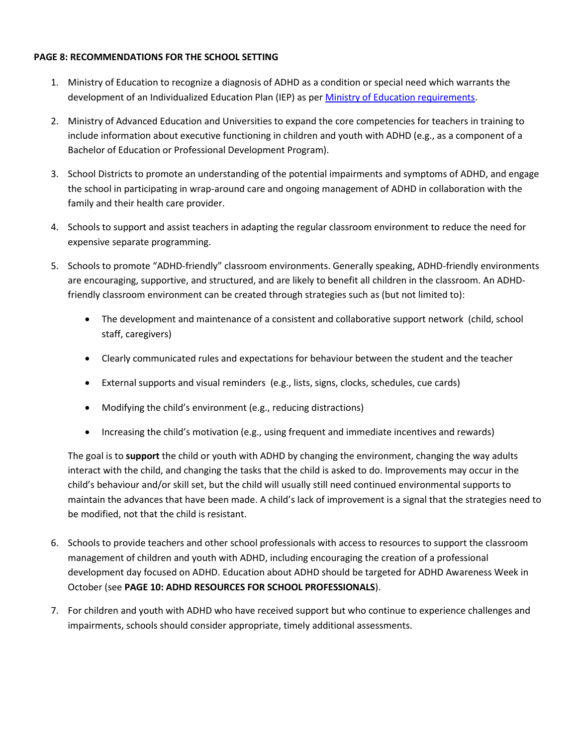## **PAGE 8: RECOMMENDATIONS FOR THE SCHOOL SETTING**

- 1. Ministry of Education to recognize a diagnosis of ADHD as a condition or special need which warrants the development of an Individualized Education Plan (IEP) as per [Ministry of Education requirements.](http://www.bced.gov.bc.ca/specialed/docs/iepssn.pdf)
- 2. Ministry of Advanced Education and Universities to expand the core competencies for teachers in training to include information about executive functioning in children and youth with ADHD (e.g., as a component of a Bachelor of Education or Professional Development Program).
- 3. School Districts to promote an understanding of the potential impairments and symptoms of ADHD, and engage the school in participating in wrap-around care and ongoing management of ADHD in collaboration with the family and their health care provider.
- 4. Schools to support and assist teachers in adapting the regular classroom environment to reduce the need for expensive separate programming.
- 5. Schools to promote "ADHD-friendly" classroom environments. Generally speaking, ADHD-friendly environments are encouraging, supportive, and structured, and are likely to benefit all children in the classroom. An ADHDfriendly classroom environment can be created through strategies such as (but not limited to):
	- The development and maintenance of a consistent and collaborative support network (child, school staff, caregivers)
	- Clearly communicated rules and expectations for behaviour between the student and the teacher
	- External supports and visual reminders (e.g., lists, signs, clocks, schedules, cue cards)
	- Modifying the child's environment (e.g., reducing distractions)
	- Increasing the child's motivation (e.g., using frequent and immediate incentives and rewards)

The goal is to **support** the child or youth with ADHD by changing the environment, changing the way adults interact with the child, and changing the tasks that the child is asked to do. Improvements may occur in the child's behaviour and/or skill set, but the child will usually still need continued environmental supports to maintain the advances that have been made. A child's lack of improvement is a signal that the strategies need to be modified, not that the child is resistant.

- 6. Schools to provide teachers and other school professionals with access to resources to support the classroom management of children and youth with ADHD, including encouraging the creation of a professional development day focused on ADHD. Education about ADHD should be targeted for ADHD Awareness Week in October (see **PAGE 10: ADHD RESOURCES FOR SCHOOL PROFESSIONALS**).
- 7. For children and youth with ADHD who have received support but who continue to experience challenges and impairments, schools should consider appropriate, timely additional assessments.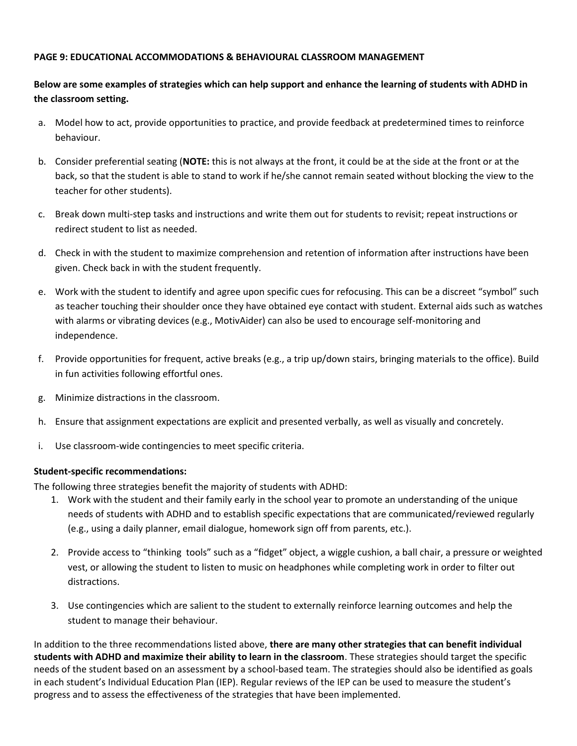#### **PAGE 9: EDUCATIONAL ACCOMMODATIONS & BEHAVIOURAL CLASSROOM MANAGEMENT**

# **Below are some examples of strategies which can help support and enhance the learning of students with ADHD in the classroom setting.**

- a. Model how to act, provide opportunities to practice, and provide feedback at predetermined times to reinforce behaviour.
- b. Consider preferential seating (**NOTE:** this is not always at the front, it could be at the side at the front or at the back, so that the student is able to stand to work if he/she cannot remain seated without blocking the view to the teacher for other students).
- c. Break down multi-step tasks and instructions and write them out for students to revisit; repeat instructions or redirect student to list as needed.
- d. Check in with the student to maximize comprehension and retention of information after instructions have been given. Check back in with the student frequently.
- e. Work with the student to identify and agree upon specific cues for refocusing. This can be a discreet "symbol" such as teacher touching their shoulder once they have obtained eye contact with student. External aids such as watches with alarms or vibrating devices (e.g., MotivAider) can also be used to encourage self-monitoring and independence.
- f. Provide opportunities for frequent, active breaks (e.g., a trip up/down stairs, bringing materials to the office). Build in fun activities following effortful ones.
- g. Minimize distractions in the classroom.
- h. Ensure that assignment expectations are explicit and presented verbally, as well as visually and concretely.
- i. Use classroom-wide contingencies to meet specific criteria.

#### **Student-specific recommendations:**

The following three strategies benefit the majority of students with ADHD:

- 1. Work with the student and their family early in the school year to promote an understanding of the unique needs of students with ADHD and to establish specific expectations that are communicated/reviewed regularly (e.g., using a daily planner, email dialogue, homework sign off from parents, etc.).
- 2. Provide access to "thinking tools" such as a "fidget" object, a wiggle cushion, a ball chair, a pressure or weighted vest, or allowing the student to listen to music on headphones while completing work in order to filter out distractions.
- 3. Use contingencies which are salient to the student to externally reinforce learning outcomes and help the student to manage their behaviour.

In addition to the three recommendations listed above, **there are many other strategies that can benefit individual students with ADHD and maximize their ability to learn in the classroom**. These strategies should target the specific needs of the student based on an assessment by a school-based team. The strategies should also be identified as goals in each student's Individual Education Plan (IEP). Regular reviews of the IEP can be used to measure the student's progress and to assess the effectiveness of the strategies that have been implemented.